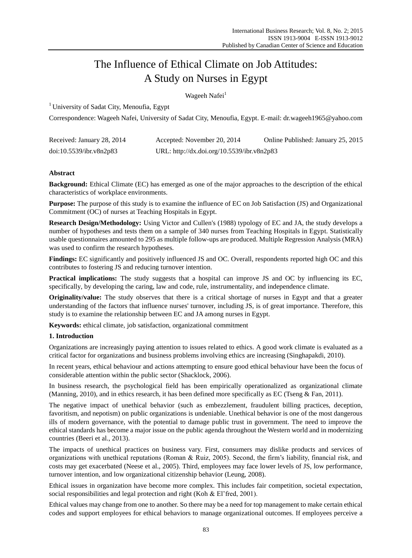# The Influence of Ethical Climate on Job Attitudes: A Study on Nurses in Egypt

Wageeh Nafei<sup>1</sup>

<sup>1</sup> University of Sadat City, Menoufia, Egypt

Correspondence: Wageeh Nafei, University of Sadat City, Menoufia, Egypt. E-mail: dr.wageeh1965@yahoo.com

| Received: January 28, 2014 | Accepted: November 20, 2014                | Online Published: January 25, 2015 |
|----------------------------|--------------------------------------------|------------------------------------|
| doi:10.5539/ibr.v8n2p83    | URL: http://dx.doi.org/10.5539/ibr.v8n2p83 |                                    |

# **Abstract**

**Background:** Ethical Climate (EC) has emerged as one of the major approaches to the description of the ethical characteristics of workplace environments.

**Purpose:** The purpose of this study is to examine the influence of EC on Job Satisfaction (JS) and Organizational Commitment (OC) of nurses at Teaching Hospitals in Egypt.

**Research Design/Methodology:** Using Victor and Cullen's (1988) typology of EC and JA, the study develops a number of hypotheses and tests them on a sample of 340 nurses from Teaching Hospitals in Egypt. Statistically usable questionnaires amounted to 295 as multiple follow-ups are produced. Multiple Regression Analysis (MRA) was used to confirm the research hypotheses.

**Findings:** EC significantly and positively influenced JS and OC. Overall, respondents reported high OC and this contributes to fostering JS and reducing turnover intention.

**Practical implications:** The study suggests that a hospital can improve JS and OC by influencing its EC, specifically, by developing the caring, law and code, rule, instrumentality, and independence climate.

**Originality/value:** The study observes that there is a critical shortage of nurses in Egypt and that a greater understanding of the factors that influence nurses' turnover, including JS, is of great importance. Therefore, this study is to examine the relationship between EC and JA among nurses in Egypt.

**Keywords:** ethical climate, job satisfaction, organizational commitment

# **1. Introduction**

Organizations are increasingly paying attention to issues related to ethics. A good work climate is evaluated as a critical factor for organizations and business problems involving ethics are increasing (Singhapakdi, 2010).

In recent years, ethical behaviour and actions attempting to ensure good ethical behaviour have been the focus of considerable attention within the public sector (Shacklock, 2006).

In business research, the psychological field has been empirically operationalized as organizational climate (Manning, 2010), and in ethics research, it has been defined more specifically as EC (Tseng & Fan, 2011).

The negative impact of unethical behavior (such as embezzlement, fraudulent billing practices, deception, favoritism, and nepotism) on public organizations is undeniable. Unethical behavior is one of the most dangerous ills of modern governance, with the potential to damage public trust in government. The need to improve the ethical standards has become a major issue on the public agenda throughout the Western world and in modernizing countries (Beeri et al., 2013).

The impacts of unethical practices on business vary. First, consumers may dislike products and services of organizations with unethical reputations (Roman & Ruiz, 2005). Second, the firm's liability, financial risk, and costs may get exacerbated (Neese et al., 2005). Third, employees may face lower levels of JS, low performance, turnover intention, and low organizational citizenship behavior (Leung, 2008).

Ethical issues in organization have become more complex. This includes fair competition, societal expectation, social responsibilities and legal protection and right (Koh & El'fred, 2001).

Ethical values may change from one to another. So there may be a need for top management to make certain ethical codes and support employees for ethical behaviors to manage organizational outcomes. If employees perceive a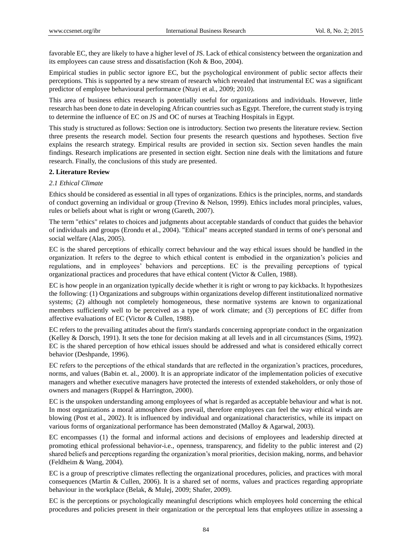favorable EC, they are likely to have a higher level of JS. Lack of ethical consistency between the organization and its employees can cause stress and dissatisfaction (Koh & Boo, 2004).

Empirical studies in public sector ignore EC, but the psychological environment of public sector affects their perceptions. This is supported by a new stream of research which revealed that instrumental EC was a significant predictor of employee behavioural performance (Ntayi et al., 2009; 2010).

This area of business ethics research is potentially useful for organizations and individuals. However, little research has been done to date in developing African countries such as Egypt. Therefore, the current study is trying to determine the influence of EC on JS and OC of nurses at Teaching Hospitals in Egypt.

This study is structured as follows: Section one is introductory. Section two presents the literature review. Section three presents the research model. Section four presents the research questions and hypotheses. Section five explains the research strategy. Empirical results are provided in section six. Section seven handles the main findings. Research implications are presented in section eight. Section nine deals with the limitations and future research. Finally, the conclusions of this study are presented.

# **2. Literature Review**

# *2.1 Ethical Climate*

Ethics should be considered as essential in all types of organizations. Ethics is the principles, norms, and standards of conduct governing an individual or group (Trevino & Nelson, 1999). Ethics includes moral principles, values, rules or beliefs about what is right or wrong (Gareth, 2007).

The term "ethics" relates to choices and judgments about acceptable standards of conduct that guides the behavior of individuals and groups (Erondu et al., 2004). "Ethical" means accepted standard in terms of one's personal and social welfare (Alas, 2005).

EC is the shared perceptions of ethically correct behaviour and the way ethical issues should be handled in the organization. It refers to the degree to which ethical content is embodied in the organization's policies and regulations, and in employees' behaviors and perceptions. EC is the prevailing perceptions of typical organizational practices and procedures that have ethical content (Victor & Cullen, 1988).

EC is how people in an organization typically decide whether it is right or wrong to pay kickbacks. It hypothesizes the following: (1) Organizations and subgroups within organizations develop different institutionalized normative systems; (2) although not completely homogeneous, these normative systems are known to organizational members sufficiently well to be perceived as a type of work climate; and (3) perceptions of EC differ from affective evaluations of EC (Victor & Cullen, 1988).

EC refers to the prevailing attitudes about the firm's standards concerning appropriate conduct in the organization (Kelley & Dorsch, 1991). It sets the tone for decision making at all levels and in all circumstances (Sims, 1992). EC is the shared perception of how ethical issues should be addressed and what is considered ethically correct behavior (Deshpande, 1996).

EC refers to the perceptions of the ethical standards that are reflected in the organization's practices, procedures, norms, and values (Babin et. al., 2000). It is an appropriate indicator of the implementation policies of executive managers and whether executive managers have protected the interests of extended stakeholders, or only those of owners and managers (Ruppel & Harrington, 2000).

EC is the unspoken understanding among employees of what is regarded as acceptable behaviour and what is not. In most organizations a moral atmosphere does prevail, therefore employees can feel the way ethical winds are blowing (Post et al., 2002). It is influenced by individual and organizational characteristics, while its impact on various forms of organizational performance has been demonstrated (Malloy & Agarwal, 2003).

EC encompasses (1) the formal and informal actions and decisions of employees and leadership directed at promoting ethical professional behavior-i.e., openness, transparency, and fidelity to the public interest and (2) shared beliefs and perceptions regarding the organization's moral priorities, decision making, norms, and behavior (Feldheim & Wang, 2004).

EC is a group of prescriptive climates reflecting the organizational procedures, policies, and practices with moral consequences (Martin & Cullen, 2006). It is a shared set of norms, values and practices regarding appropriate behaviour in the workplace (Belak, & Mulej, 2009; Shafer, 2009).

EC is the perceptions or psychologically meaningful descriptions which employees hold concerning the ethical procedures and policies present in their organization or the perceptual lens that employees utilize in assessing a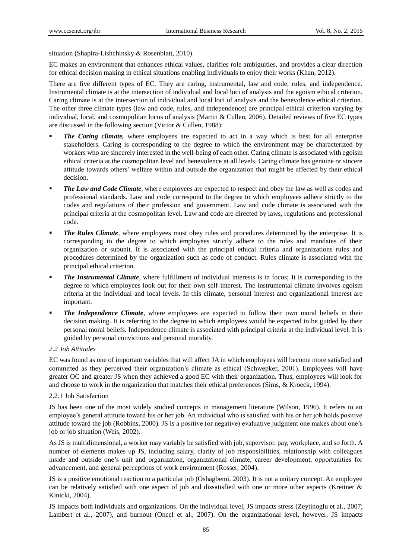situation (Shapira-Lishchinsky & Rosenblatt, 2010).

EC makes an environment that enhances ethical values, clarifies role ambiguities, and provides a clear direction for ethical decision making in ethical situations enabling individuals to enjoy their works (Khan, 2012).

There are five different types of EC. They are caring, instrumental, law and code, rules, and independence. Instrumental climate is at the intersection of individual and local loci of analysis and the egoism ethical criterion. Caring climate is at the intersection of individual and local loci of analysis and the benevolence ethical criterion. The other three climate types (law and code, rules, and independence) are principal ethical criterion varying by individual, local, and cosmopolitan locus of analysis (Martin & Cullen, 2006). Detailed reviews of five EC types are discussed in the following section (Victor & Cullen, 1988):

- *The Caring climate,* where employees are expected to act in a way which is best for all enterprise stakeholders. Caring is corresponding to the degree to which the environment may be characterized by workers who are sincerely interested in the well-being of each other. Caring climate is associated with egoism ethical criteria at the cosmopolitan level and benevolence at all levels. Caring climate has genuine or sincere attitude towards others' welfare within and outside the organization that might be affected by their ethical decision.
- **The Law and Code Climate**, where employees are expected to respect and obey the law as well as codes and professional standards. Law and code correspond to the degree to which employees adhere strictly to the codes and regulations of their profession and government. Law and code climate is associated with the principal criteria at the cosmopolitan level. Law and code are directed by laws, regulations and professional code.
- *The Rules Climate*, where employees must obey rules and procedures determined by the enterprise. It is corresponding to the degree to which employees strictly adhere to the rules and mandates of their organization or subunit. It is associated with the principal ethical criteria and organizations rules and procedures determined by the organization such as code of conduct. Rules climate is associated with the principal ethical criterion.
- *The Instrumental Climate*, where fulfillment of individual interests is in focus; It is corresponding to the degree to which employees look out for their own self-interest. The instrumental climate involves egoism criteria at the individual and local levels. In this climate, personal interest and organizational interest are important.
- *The Independence Climate*, where employees are expected to follow their own moral beliefs in their decision making. It is referring to the degree to which employees would be expected to be guided by their personal moral beliefs. Independence climate is associated with principal criteria at the individual level. It is guided by personal convictions and personal morality.

# *2.2 Job Attitudes*

EC was found as one of important variables that will affect JA in which employees will become more satisfied and committed as they perceived their organization's climate as ethical (Schwepker, 2001). Employees will have greater OC and greater JS when they achieved a good EC with their organization. Thus, employees will look for and choose to work in the organization that matches their ethical preferences (Sims, & Kroeck, 1994).

# 2.2.1 Job Satisfaction

JS has been one of the most widely studied concepts in management literature (Wilson, 1996). It refers to an employee's general attitude toward his or her job. An individual who is satisfied with his or her job holds positive attitude toward the job (Robbins, 2000). JS is a positive (or negative) evaluative judgment one makes about one's job or job situation (Weis, 2002).

As JS is multidimensional, a worker may variably be satisfied with job, supervisor, pay, workplace, and so forth. A number of elements makes up JS, including salary, clarity of job responsibilities, relationship with colleagues inside and outside one's unit and organization, organizational climate, career development, opportunities for advancement, and general perceptions of work environment (Rosser, 2004).

JS is a positive emotional reaction to a particular job (Oshagbemi, 2003). It is not a unitary concept. An employee can be relatively satisfied with one aspect of job and dissatisfied with one or more other aspects (Kreitner & Kinicki, 2004).

JS impacts both individuals and organizations. On the individual level, JS impacts stress (Zeytinoglu et al., 2007; Lambert et al., 2007), and burnout (Oncel et al., 2007). On the organizational level, however, JS impacts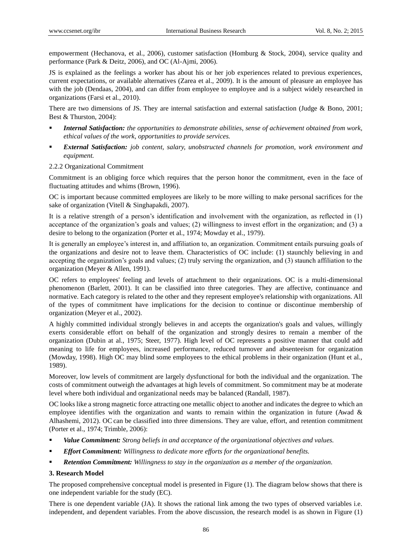empowerment (Hechanova, et al., 2006), customer satisfaction (Homburg & Stock, 2004), service quality and performance (Park & Deitz, 2006), and OC (Al-Ajmi, 2006).

JS is explained as the feelings a worker has about his or her job experiences related to previous experiences, current expectations, or available alternatives (Zarea et al., 2009). It is the amount of pleasure an employee has with the job (Dendaas, 2004), and can differ from employee to employee and is a subject widely researched in organizations (Farsi et al., 2010).

There are two dimensions of JS. They are internal satisfaction and external satisfaction (Judge & Bono, 2001; Best & Thurston, 2004):

- *Internal Satisfaction: the opportunities to demonstrate abilities, sense of achievement obtained from work, ethical values of the work, opportunities to provide services.*
- *External Satisfaction: job content, salary, unobstructed channels for promotion, work environment and equipment.*
- 2.2.2 Organizational Commitment

Commitment is an obliging force which requires that the person honor the commitment, even in the face of fluctuating attitudes and whims (Brown, 1996).

OC is important because committed employees are likely to be more willing to make personal sacrifices for the sake of organization (Vitell & Singhapakdi, 2007).

It is a relative strength of a person's identification and involvement with the organization, as reflected in (1) acceptance of the organization's goals and values; (2) willingness to invest effort in the organization; and (3) a desire to belong to the organization (Porter et al., 1974; Mowday et al., 1979).

It is generally an employee's interest in, and affiliation to, an organization. Commitment entails pursuing goals of the organizations and desire not to leave them. Characteristics of OC include: (1) staunchly believing in and accepting the organization's goals and values; (2) truly serving the organization, and (3) staunch affiliation to the organization (Meyer & Allen, 1991).

OC refers to employees' feeling and levels of attachment to their organizations. OC is a multi-dimensional phenomenon (Barlett, 2001). It can be classified into three categories. They are affective, continuance and normative. Each category is related to the other and they represent employee's relationship with organizations. All of the types of commitment have implications for the decision to continue or discontinue membership of organization (Meyer et al., 2002).

A highly committed individual strongly believes in and accepts the organization's goals and values, willingly exerts considerable effort on behalf of the organization and strongly desires to remain a member of the organization (Dubin at al., 1975; Steer, 1977). High level of OC represents a positive manner that could add meaning to life for employees, increased performance, reduced turnover and absenteeism for organization (Mowday, 1998). High OC may blind some employees to the ethical problems in their organization (Hunt et al., 1989).

Moreover, low levels of commitment are largely dysfunctional for both the individual and the organization. The costs of commitment outweigh the advantages at high levels of commitment. So commitment may be at moderate level where both individual and organizational needs may be balanced (Randall, 1987).

OC looks like a strong magnetic force attracting one metallic object to another and indicates the degree to which an employee identifies with the organization and wants to remain within the organization in future (Awad & Alhashemi, 2012). OC can be classified into three dimensions. They are value, effort, and retention commitment (Porter et al., 1974; Trimble, 2006):

- *Value Commitment: Strong beliefs in and acceptance of the organizational objectives and values.*
- *Effort Commitment: Willingness to dedicate more efforts for the organizational benefits.*
- *Retention Commitment: Willingness to stay in the organization as a member of the organization.*

# **3. Research Model**

The proposed comprehensive conceptual model is presented in Figure (1). The diagram below shows that there is one independent variable for the study (EC).

There is one dependent variable (JA). It shows the rational link among the two types of observed variables i.e. independent, and dependent variables. From the above discussion, the research model is as shown in Figure (1)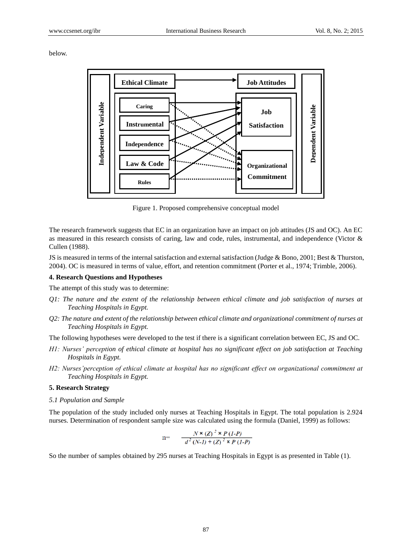below.



Figure 1. Proposed comprehensive conceptual model

The research framework suggests that EC in an organization have an impact on job attitudes (JS and OC). An EC as measured in this research consists of caring, law and code, rules, instrumental, and independence (Victor & Cullen (1988).

JS is measured in terms of the internal satisfaction and external satisfaction (Judge & Bono, 2001; Best & Thurston, 2004). OC is measured in terms of value, effort, and retention commitment (Porter et al., 1974; Trimble, 2006).

#### **4. Research Questions and Hypotheses**

The attempt of this study was to determine:

- *Q1: The nature and the extent of the relationship between ethical climate and job satisfaction of nurses at Teaching Hospitals in Egypt.*
- *Q2: The nature and extent of the relationship between ethical climate and organizational commitment of nurses at Teaching Hospitals in Egypt.*

The following hypotheses were developed to the test if there is a significant correlation between EC, JS and OC.

- *H1: Nurses' perception of ethical climate at hospital has no significant effect on job satisfaction at Teaching Hospitals in Egypt.*
- *H2: Nurses'perception of ethical climate at hospital has no significant effect on organizational commitment at Teaching Hospitals in Egypt.*

# **5. Research Strategy**

*5.1 Population and Sample*

The population of the study included only nurses at Teaching Hospitals in Egypt. The total population is 2.924 nurses. Determination of respondent sample size was calculated using the formula (Daniel, 1999) as follows:

$$
n = \frac{N \times (Z)^2 \times P (1-P)}{d^2 (N-I) + (Z)^2 \times P (1-P)}
$$

So the number of samples obtained by 295 nurses at Teaching Hospitals in Egypt is as presented in Table (1).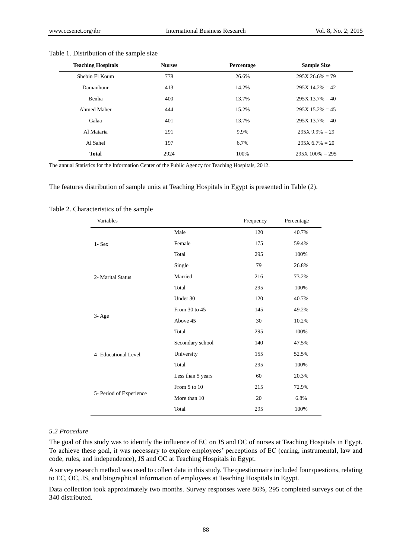| <b>Teaching Hospitals</b> | <b>Nurses</b> | Percentage | <b>Sample Size</b> |
|---------------------------|---------------|------------|--------------------|
| Shebin El Koum            | 778           | 26.6%      | $295X 26.6\% = 79$ |
| Damanhour                 | 413           | 14.2%      | $295X$ 14.2% = 42  |
| Benha                     | 400           | 13.7%      | $295X 13.7\% = 40$ |
| Ahmed Maher               | 444           | 15.2%      | $295X$ 15.2% = 45  |
| Galaa                     | 401           | 13.7%      | $295X$ 13.7% = 40  |
| Al Mataria                | 291           | 9.9%       | $295X 9.9\% = 29$  |
| Al Sahel                  | 197           | 6.7%       | $295X\,6.7\% = 20$ |
| <b>Total</b>              | 2924          | 100%       | $295X100\% = 295$  |

#### Table 1. Distribution of the sample size

The annual Statistics for the Information Center of the Public Agency for Teaching Hospitals, 2012.

The features distribution of sample units at Teaching Hospitals in Egypt is presented in Table (2).

| Variables               |                   | Frequency | Percentage |
|-------------------------|-------------------|-----------|------------|
|                         | Male              | 120       | 40.7%      |
| $1 - Sex$               | Female            | 175       | 59.4%      |
|                         | Total             | 295       | 100%       |
|                         | Single            | 79        | 26.8%      |
| 2- Marital Status       | Married           | 216       | 73.2%      |
|                         | Total             | 295       | 100%       |
|                         | Under 30          | 120       | 40.7%      |
|                         | From 30 to 45     | 145       | 49.2%      |
| $3 - Age$               | Above 45          | 30        | 10.2%      |
|                         | Total             | 295       | 100%       |
|                         | Secondary school  | 140       | 47.5%      |
| 4- Educational Level    | University        | 155       | 52.5%      |
|                         | Total             | 295       | 100%       |
|                         | Less than 5 years | 60        | 20.3%      |
|                         | From 5 to 10      | 215       | 72.9%      |
| 5- Period of Experience | More than 10      | 20        | 6.8%       |
|                         | Total             | 295       | 100%       |

Table 2. Characteristics of the sample

# *5.2 Procedure*

The goal of this study was to identify the influence of EC on JS and OC of nurses at Teaching Hospitals in Egypt. To achieve these goal, it was necessary to explore employees' perceptions of EC (caring, instrumental, law and code, rules, and independence), JS and OC at Teaching Hospitals in Egypt.

A survey research method was used to collect data in this study. The questionnaire included four questions, relating to EC, OC, JS, and biographical information of employees at Teaching Hospitals in Egypt.

Data collection took approximately two months. Survey responses were 86%, 295 completed surveys out of the 340 distributed.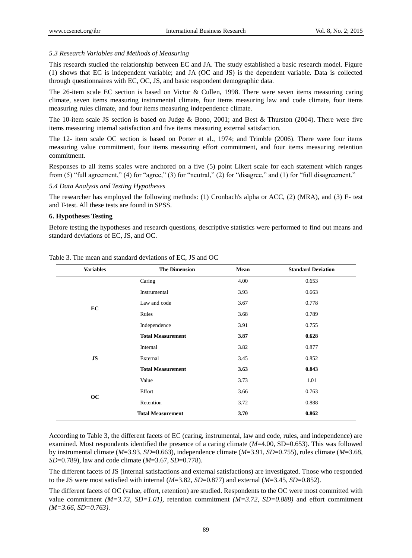### *5.3 Research Variables and Methods of Measuring*

This research studied the relationship between EC and JA. The study established a basic research model. Figure (1) shows that EC is independent variable; and JA (OC and JS) is the dependent variable. Data is collected through questionnaires with EC, OC, JS, and basic respondent demographic data.

The 26-item scale EC section is based on Victor & Cullen, 1998. There were seven items measuring caring climate, seven items measuring instrumental climate, four items measuring law and code climate, four items measuring rules climate, and four items measuring independence climate.

The 10-item scale JS section is based on Judge & Bono, 2001; and Best & Thurston (2004). There were five items measuring internal satisfaction and five items measuring external satisfaction.

The 12- item scale OC section is based on Porter et al., 1974; and Trimble (2006). There were four items measuring value commitment, four items measuring effort commitment, and four items measuring retention commitment.

Responses to all items scales were anchored on a five (5) point Likert scale for each statement which ranges from (5) "full agreement," (4) for "agree," (3) for "neutral," (2) for "disagree," and (1) for "full disagreement."

### *5.4 Data Analysis and Testing Hypotheses*

The researcher has employed the following methods: (1) Cronbach's alpha or ACC, (2) (MRA), and (3) F- test and T-test. All these tests are found in SPSS.

## **6. Hypotheses Testing**

Before testing the hypotheses and research questions, descriptive statistics were performed to find out means and standard deviations of EC, JS, and OC.

| <b>Variables</b> | <b>The Dimension</b>     | Mean | <b>Standard Deviation</b> |
|------------------|--------------------------|------|---------------------------|
|                  | Caring                   | 4.00 | 0.653                     |
|                  | Instrumental             | 3.93 | 0.663                     |
| EC               | Law and code             | 3.67 | 0.778                     |
|                  | Rules                    | 3.68 | 0.789                     |
|                  | Independence             | 3.91 | 0.755                     |
|                  | <b>Total Measurement</b> | 3.87 | 0.628                     |
|                  | Internal                 | 3.82 | 0.877                     |
| JS               | External                 | 3.45 | 0.852                     |
|                  | <b>Total Measurement</b> | 3.63 | 0.843                     |
|                  | Value                    | 3.73 | 1.01                      |
| oc               | Effort                   | 3.66 | 0.763                     |
|                  | Retention                | 3.72 | 0.888                     |
|                  | <b>Total Measurement</b> | 3.70 | 0.862                     |

Table 3. The mean and standard deviations of EC, JS and OC

According to Table 3, the different facets of EC (caring, instrumental, law and code, rules, and independence) are examined. Most respondents identified the presence of a caring climate (*M*=4.00, SD=0.653). This was followed by instrumental climate (*M*=3.93, *SD*=0.663), independence climate (*M*=3.91, *SD*=0.755), rules climate (*M*=3.68, *SD*=0.789), law and code climate (*M*=3.67, *SD*=0.778).

The different facets of JS (internal satisfactions and external satisfactions) are investigated. Those who responded to the JS were most satisfied with internal (*M*=3.82, *SD*=0.877) and external (*M*=3.45, *SD*=0.852).

The different facets of OC (value, effort, retention) are studied. Respondents to the OC were most committed with value commitment *(M=3.73, SD=1.01)*, retention commitment *(M=3.72, SD=0.888)* and effort commitment *(M=3.66, SD=0.763)*.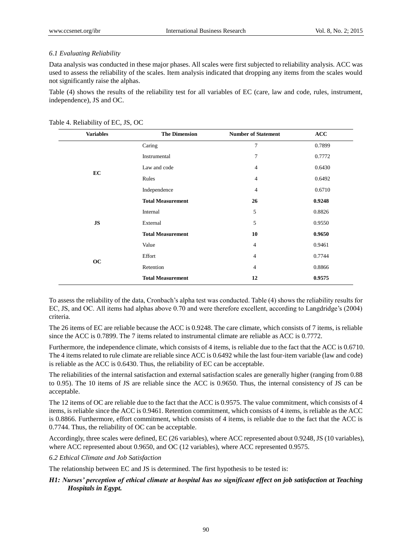# *6.1 Evaluating Reliability*

Data analysis was conducted in these major phases. All scales were first subjected to reliability analysis. ACC was used to assess the reliability of the scales. Item analysis indicated that dropping any items from the scales would not significantly raise the alphas.

Table (4) shows the results of the reliability test for all variables of EC (care, law and code, rules, instrument, independence), JS and OC.

| <b>Variables</b> | <b>The Dimension</b>     | <b>Number of Statement</b> | <b>ACC</b> |
|------------------|--------------------------|----------------------------|------------|
|                  | Caring                   | 7                          | 0.7899     |
|                  | Instrumental             | $\tau$                     | 0.7772     |
| EC               | Law and code             | $\overline{4}$             | 0.6430     |
|                  | Rules                    | 4                          | 0.6492     |
|                  | Independence             | 4                          | 0.6710     |
|                  | <b>Total Measurement</b> | 26                         | 0.9248     |
|                  | Internal                 | 5                          | 0.8826     |
| <b>JS</b>        | External                 | 5                          | 0.9550     |
|                  | <b>Total Measurement</b> | 10                         | 0.9650     |
|                  | Value                    | 4                          | 0.9461     |
|                  | Effort                   | 4                          | 0.7744     |
| <b>OC</b>        | Retention                | 4                          | 0.8866     |
|                  | <b>Total Measurement</b> | 12                         | 0.9575     |

|  | Table 4. Reliability of EC, JS, OC |  |  |  |
|--|------------------------------------|--|--|--|
|--|------------------------------------|--|--|--|

To assess the reliability of the data, Cronbach's alpha test was conducted. Table (4) shows the reliability results for EC, JS, and OC. All items had alphas above 0.70 and were therefore excellent, according to Langdridge's (2004) criteria.

The 26 items of EC are reliable because the ACC is 0.9248. The care climate, which consists of 7 items, is reliable since the ACC is 0.7899. The 7 items related to instrumental climate are reliable as ACC is 0.7772.

Furthermore, the independence climate, which consists of 4 items, is reliable due to the fact that the ACC is 0.6710. The 4 items related to rule climate are reliable since ACC is 0.6492 while the last four-item variable (law and code) is reliable as the ACC is 0.6430. Thus, the reliability of EC can be acceptable.

The reliabilities of the internal satisfaction and external satisfaction scales are generally higher (ranging from 0.88 to 0.95). The 10 items of JS are reliable since the ACC is 0.9650. Thus, the internal consistency of JS can be acceptable.

The 12 items of OC are reliable due to the fact that the ACC is 0.9575. The value commitment, which consists of 4 items, is reliable since the ACC is 0.9461. Retention commitment, which consists of 4 items, is reliable as the ACC is 0.8866. Furthermore, effort commitment, which consists of 4 items, is reliable due to the fact that the ACC is 0.7744. Thus, the reliability of OC can be acceptable.

Accordingly, three scales were defined, EC (26 variables), where ACC represented about 0.9248, JS (10 variables), where ACC represented about 0.9650, and OC (12 variables), where ACC represented 0.9575.

*6.2 Ethical Climate and Job Satisfaction*

The relationship between EC and JS is determined. The first hypothesis to be tested is:

# *H1: Nurses' perception of ethical climate at hospital has no significant effect on job satisfaction at Teaching Hospitals in Egypt.*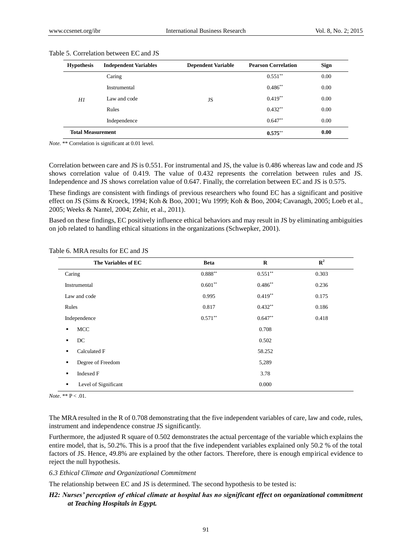| <b>Hypothesis</b>        | <b>Independent Variables</b> | <b>Dependent Variable</b> | <b>Pearson Correlation</b> | <b>Sign</b> |
|--------------------------|------------------------------|---------------------------|----------------------------|-------------|
|                          | Caring                       |                           | $0.551**$                  | 0.00        |
|                          | Instrumental                 |                           | $0.486^{**}$               | 0.00        |
| Hl                       | Law and code                 | JS                        | $0.419**$                  | 0.00        |
|                          | Rules                        |                           | $0.432**$                  | 0.00        |
|                          | Independence                 |                           | $0.647**$                  | 0.00        |
| <b>Total Measurement</b> |                              |                           | $0.575$ **                 | 0.00        |

#### Table 5. Correlation between EC and JS

*Note.* \*\* Correlation is significant at 0.01 level.

Correlation between care and JS is 0.551. For instrumental and JS, the value is 0.486 whereas law and code and JS shows correlation value of 0.419. The value of 0.432 represents the correlation between rules and JS. Independence and JS shows correlation value of 0.647. Finally, the correlation between EC and JS is 0.575.

These findings are consistent with findings of previous researchers who found EC has a significant and positive effect on JS (Sims & Kroeck, 1994; Koh & Boo, 2001; Wu 1999; Koh & Boo, 2004; Cavanagh, 2005; Loeb et al., 2005; Weeks & Nantel, 2004; Zehir, et al., 2011).

Based on these findings, EC positively influence ethical behaviors and may result in JS by eliminating ambiguities on job related to handling ethical situations in the organizations (Schwepker, 2001).

| The Variables of EC       | <b>Beta</b> | $\mathbf R$ | $\mathbb{R}^2$ |
|---------------------------|-------------|-------------|----------------|
| Caring                    | $0.888***$  | $0.551***$  | 0.303          |
| Instrumental              | $0.601**$   | $0.486**$   | 0.236          |
| Law and code              | 0.995       | $0.419**$   | 0.175          |
| Rules                     | 0.817       | $0.432**$   | 0.186          |
| Independence              | $0.571**$   | $0.647**$   | 0.418          |
| MCC<br>٠                  |             | 0.708       |                |
| DC<br>٠                   |             | 0.502       |                |
| Calculated F<br>٠         |             | 58.252      |                |
| Degree of Freedom<br>٠    |             | 5,289       |                |
| Indexed F<br>٠            |             | 3.78        |                |
| Level of Significant<br>٠ |             | 0.000       |                |

Table 6. MRA results for EC and JS

*Note*. \*\*  $P < .01$ .

The MRA resulted in the R of 0.708 demonstrating that the five independent variables of care, law and code, rules, instrument and independence construe JS significantly.

Furthermore, the adjusted R square of 0.502 demonstrates the actual percentage of the variable which explains the entire model, that is, 50.2%. This is a proof that the five independent variables explained only 50.2 % of the total factors of JS. Hence, 49.8% are explained by the other factors. Therefore, there is enough empirical evidence to reject the null hypothesis.

## *6.3 Ethical Climate and Organizational Commitment*

The relationship between EC and JS is determined. The second hypothesis to be tested is:

# *H2: Nurses' perception of ethical climate at hospital has no significant effect on organizational commitment at Teaching Hospitals in Egypt.*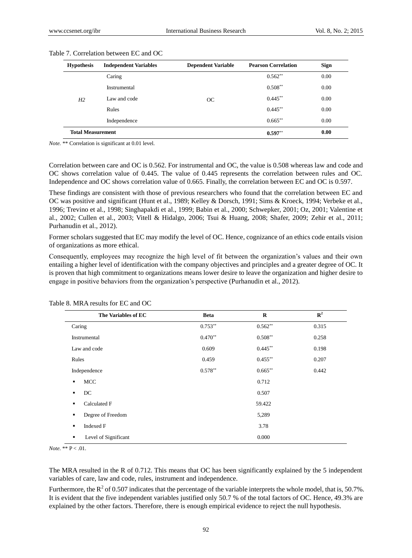| <b>Hypothesis</b>        | <b>Independent Variables</b> | <b>Dependent Variable</b> | <b>Pearson Correlation</b> | <b>Sign</b> |
|--------------------------|------------------------------|---------------------------|----------------------------|-------------|
|                          | Caring                       |                           | $0.562**$                  | 0.00        |
|                          | Instrumental                 |                           | $0.508**$                  | 0.00        |
| H <sub>2</sub>           | Law and code                 | OC                        | $0.445**$                  | 0.00        |
|                          | Rules                        |                           | $0.445***$                 | 0.00        |
|                          | Independence                 |                           | $0.665**$                  | 0.00        |
| <b>Total Measurement</b> |                              |                           | $0.597**$                  | 0.00        |

#### Table 7. Correlation between EC and OC

*Note.* \*\* Correlation is significant at 0.01 level.

Correlation between care and OC is 0.562. For instrumental and OC, the value is 0.508 whereas law and code and OC shows correlation value of 0.445. The value of 0.445 represents the correlation between rules and OC. Independence and OC shows correlation value of 0.665. Finally, the correlation between EC and OC is 0.597.

These findings are consistent with those of previous researchers who found that the correlation between EC and OC was positive and significant (Hunt et al., 1989; Kelley & Dorsch, 1991; Sims & Kroeck, 1994; Verbeke et al., 1996; Trevino et al., 1998; Singhapakdi et al., 1999; Babin et al., 2000; Schwepker, 2001; Oz, 2001; Valentine et al., 2002; Cullen et al., 2003; Vitell & Hidalgo, 2006; Tsui & Huang, 2008; Shafer, 2009; Zehir et al., 2011; Purhanudin et al., 2012).

Former scholars suggested that EC may modify the level of OC. Hence, cognizance of an ethics code entails vision of organizations as more ethical.

Consequently, employees may recognize the high level of fit between the organization's values and their own entailing a higher level of identification with the company objectives and principles and a greater degree of OC. It is proven that high commitment to organizations means lower desire to leave the organization and higher desire to engage in positive behaviors from the organization's perspective (Purhanudin et al., 2012).

| The Variables of EC       | <b>Beta</b> | $\mathbf R$ | $\mathbb{R}^2$ |
|---------------------------|-------------|-------------|----------------|
| Caring                    | $0.753**$   | $0.562**$   | 0.315          |
| Instrumental              | $0.470**$   | $0.508**$   | 0.258          |
| Law and code              | 0.609       | $0.445***$  | 0.198          |
| Rules                     | 0.459       | $0.455***$  | 0.207          |
| Independence              | $0.578**$   | $0.665***$  | 0.442          |
| MCC<br>٠                  |             | 0.712       |                |
| DC<br>٠                   |             | 0.507       |                |
| Calculated F<br>٠         |             | 59.422      |                |
| Degree of Freedom<br>٠    |             | 5,289       |                |
| <b>Indexed F</b><br>٠     |             | 3.78        |                |
| Level of Significant<br>٠ |             | 0.000       |                |

|  |  |  | Table 8. MRA results for EC and OC |  |  |  |  |
|--|--|--|------------------------------------|--|--|--|--|
|--|--|--|------------------------------------|--|--|--|--|

*Note.* \*\*  $P < .01$ .

The MRA resulted in the R of 0.712. This means that OC has been significantly explained by the 5 independent variables of care, law and code, rules, instrument and independence.

Furthermore, the  $R^2$  of 0.507 indicates that the percentage of the variable interprets the whole model, that is, 50.7%. It is evident that the five independent variables justified only 50.7 % of the total factors of OC. Hence, 49.3% are explained by the other factors. Therefore, there is enough empirical evidence to reject the null hypothesis.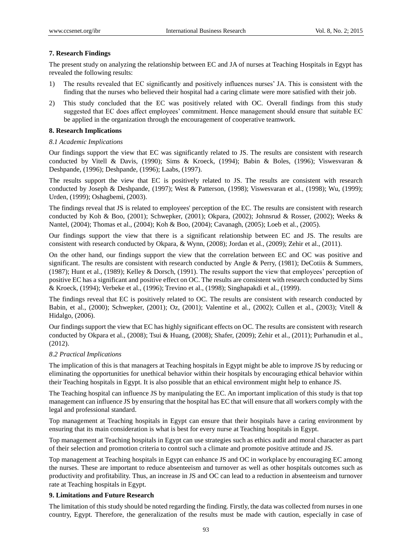# **7. Research Findings**

The present study on analyzing the relationship between EC and JA of nurses at Teaching Hospitals in Egypt has revealed the following results:

- 1) The results revealed that EC significantly and positively influences nurses' JA. This is consistent with the finding that the nurses who believed their hospital had a caring climate were more satisfied with their job.
- 2) This study concluded that the EC was positively related with OC. Overall findings from this study suggested that EC does affect employees' commitment. Hence management should ensure that suitable EC be applied in the organization through the encouragement of cooperative teamwork.

# **8. Research Implications**

# *8.1 Academic Implications*

Our findings support the view that EC was significantly related to JS. The results are consistent with research conducted by Vitell & Davis, (1990); Sims & Kroeck, (1994); Babin & Boles, (1996); Viswesvaran & Deshpande, (1996); Deshpande, (1996); Laabs, (1997).

The results support the view that EC is positively related to JS. The results are consistent with research conducted by Joseph & Deshpande, (1997); West & Patterson, (1998); Viswesvaran et al., (1998); Wu, (1999); Urden, (1999); Oshagbemi, (2003).

The findings reveal that JS is related to employees' perception of the EC. The results are consistent with research conducted by Koh & Boo, (2001); Schwepker, (2001); Okpara, (2002); Johnsrud & Rosser, (2002); Weeks & Nantel, (2004); Thomas et al., (2004); Koh & Boo, (2004); Cavanagh, (2005); Loeb et al., (2005).

Our findings support the view that there is a significant relationship between EC and JS. The results are consistent with research conducted by Okpara, & Wynn, (2008); Jordan et al., (2009); Zehir et al., (2011).

On the other hand, our findings support the view that the correlation between EC and OC was positive and significant. The results are consistent with research conducted by Angle & Perry, (1981); DeCotiis & Summers, (1987); Hunt et al., (1989); Kelley & Dorsch, (1991). The results support the view that employees' perception of positive EC has a significant and positive effect on OC. The results are consistent with research conducted by Sims & Kroeck, (1994); Verbeke et al., (1996); Trevino et al., (1998); Singhapakdi et al., (1999).

The findings reveal that EC is positively related to OC. The results are consistent with research conducted by Babin, et al., (2000); Schwepker, (2001); Oz, (2001); Valentine et al., (2002); Cullen et al., (2003); Vitell & Hidalgo, (2006).

Our findings support the view that EC has highly significant effects on OC. The results are consistent with research conducted by Okpara et al., (2008); Tsui & Huang, (2008); Shafer, (2009); Zehir et al., (2011); Purhanudin et al., (2012).

# *8.2 Practical Implications*

The implication of this is that managers at Teaching hospitals in Egypt might be able to improve JS by reducing or eliminating the opportunities for unethical behavior within their hospitals by encouraging ethical behavior within their Teaching hospitals in Egypt. It is also possible that an ethical environment might help to enhance JS.

The Teaching hospital can influence JS by manipulating the EC. An important implication of this study is that top management can influence JS by ensuring that the hospital has EC that will ensure that all workers comply with the legal and professional standard.

Top management at Teaching hospitals in Egypt can ensure that their hospitals have a caring environment by ensuring that its main consideration is what is best for every nurse at Teaching hospitals in Egypt.

Top management at Teaching hospitals in Egypt can use strategies such as ethics audit and moral character as part of their selection and promotion criteria to control such a climate and promote positive attitude and JS.

Top management at Teaching hospitals in Egypt can enhance JS and OC in workplace by encouraging EC among the nurses. These are important to reduce absenteeism and turnover as well as other hospitals outcomes such as productivity and profitability. Thus, an increase in JS and OC can lead to a reduction in absenteeism and turnover rate at Teaching hospitals in Egypt.

# **9. Limitations and Future Research**

The limitation of this study should be noted regarding the finding. Firstly, the data was collected from nurses in one country, Egypt. Therefore, the generalization of the results must be made with caution, especially in case of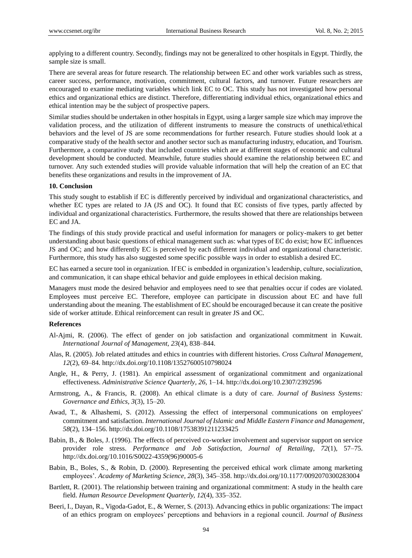applying to a different country. Secondly, findings may not be generalized to other hospitals in Egypt. Thirdly, the sample size is small.

There are several areas for future research. The relationship between EC and other work variables such as stress, career success, performance, motivation, commitment, cultural factors, and turnover. Future researchers are encouraged to examine mediating variables which link EC to OC. This study has not investigated how personal ethics and organizational ethics are distinct. Therefore, differentiating individual ethics, organizational ethics and ethical intention may be the subject of prospective papers.

Similar studies should be undertaken in other hospitals in Egypt, using a larger sample size which may improve the validation process, and the utilization of different instruments to measure the constructs of unethical/ethical behaviors and the level of JS are some recommendations for further research. Future studies should look at a comparative study of the health sector and another sector such as manufacturing industry, education, and Tourism. Furthermore, a comparative study that included countries which are at different stages of economic and cultural development should be conducted. Meanwhile, future studies should examine the relationship between EC and turnover. Any such extended studies will provide valuable information that will help the creation of an EC that benefits these organizations and results in the improvement of JA.

# **10. Conclusion**

This study sought to establish if EC is differently perceived by individual and organizational characteristics, and whether EC types are related to JA (JS and OC). It found that EC consists of five types, partly affected by individual and organizational characteristics. Furthermore, the results showed that there are relationships between EC and JA.

The findings of this study provide practical and useful information for managers or policy-makers to get better understanding about basic questions of ethical management such as: what types of EC do exist; how EC influences JS and OC; and how differently EC is perceived by each different individual and organizational characteristic. Furthermore, this study has also suggested some specific possible ways in order to establish a desired EC.

EC has earned a secure tool in organization. If EC is embedded in organization's leadership, culture, socialization, and communication, it can shape ethical behavior and guide employees in ethical decision making.

Managers must mode the desired behavior and employees need to see that penalties occur if codes are violated. Employees must perceive EC. Therefore, employee can participate in discussion about EC and have full understanding about the meaning. The establishment of EC should be encouraged because it can create the positive side of worker attitude. Ethical reinforcement can result in greater JS and OC.

## **References**

- Al-Ajmi, R. (2006). The effect of gender on job satisfaction and organizational commitment in Kuwait. *International Journal of Management, 23*(4), 838–844.
- Alas, R. (2005). Job related attitudes and ethics in countries with different histories. *Cross Cultural Management, 12*(2), 69–84. http://dx.doi.org/10.1108/13527600510798024
- Angle, H., & Perry, J. (1981). An empirical assessment of organizational commitment and organizational effectiveness. *Administrative Science Quarterly, 26*, 1–14. http://dx.doi.org/10.2307/2392596
- Armstrong, A., & Francis, R. (2008). An ethical climate is a duty of care. *Journal of Business Systems: Governance and Ethics, 3*(3), 15–20.
- Awad, T., & Alhashemi, S. (2012). Assessing the effect of interpersonal communications on employees' commitment and satisfaction. *International Journal of Islamic and Middle Eastern Finance and Management, 58*(2), 134–156. http://dx.doi.org/10.1108/17538391211233425
- Babin, B., & Boles, J. (1996). The effects of perceived co-worker involvement and supervisor support on service provider role stress. *Performance and Job Satisfaction, Journal of Retailing, 72*(1), 57–75. http://dx.doi.org/10.1016/S0022-4359(96)90005-6
- Babin, B., Boles, S., & Robin, D. (2000). Representing the perceived ethical work climate among marketing employees'. *Academy of Marketing Science, 28*(3), 345–358. http://dx.doi.org/10.1177/0092070300283004
- Bartlett, R. (2001). The relationship between training and organizational commitment: A study in the health care field. *Human Resource Development Quarterly, 12*(4), 335–352.
- Beeri, I., Dayan, R., Vigoda-Gadot, E., & Werner, S. (2013). Advancing ethics in public organizations: The impact of an ethics program on employees' perceptions and behaviors in a regional council. *Journal of Business*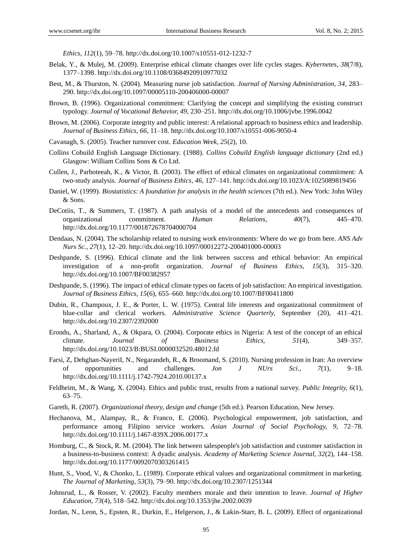*Ethics, 112*(1), 59–78. http://dx.doi.org/10.1007/s10551-012-1232-7

- Belak, Y., & Mulej, M. (2009). Enterprise ethical climate changes over life cycles stages. *Kybernetes, 38*(7/8), 1377–1398. http://dx.doi.org/10.1108/03684920910977032
- Best, M., & Thurston, N. (2004). Measuring nurse job satisfaction. *Journal of Nursing Administration, 34*, 283– 290. http://dx.doi.org/10.1097/00005110-200406000-00007
- Brown, B. (1996). Organizational commitment: Clarifying the concept and simplifying the existing construct typology. *Journal of Vocational Behavior, 49*, 230–251. http://dx.doi.org/10.1006/jvbe.1996.0042
- Brown, M. (2006). Corporate integrity and public interest: A relational approach to business ethics and leadership. *Journal of Business Ethics, 66*, 11–18. http://dx.doi.org/10.1007/s10551-006-9050-4
- Cavanagh, S. (2005). Teacher turnover cost. *Education Week, 25*(2), 10.
- Collins Cobuild English Language Dictionary. (1988). *Collins Cobuild English language dictionary* (2nd ed.) Glasgow: William Collins Sons & Co Ltd.
- Cullen, J., Parboteeah, K., & Victor, B. (2003). The effect of ethical climates on organizational commitment: A two-study analysis. *Journal of Business Ethics, 46*, 127–141. http://dx.doi.org/10.1023/A:1025089819456
- Daniel, W. (1999). *Biostatistics: A foundation for analysis in the health sciences* (7th ed.). New York: John Wiley & Sons.
- DeCotiis, T., & Summers, T. (1987). A path analysis of a model of the antecedents and consequences of organizational commitment. *Human Relations, 40*(7), 445–470. http://dx.doi.org/10.1177/001872678704000704
- Dendaas, N. (2004). The scholarship related to nursing work environments: Where do we go from here. *ANS Adv Nurs Sc., 27*(1), 12–20. http://dx.doi.org/10.1097/00012272-200401000-00003
- Deshpande, S. (1996). Ethical climate and the link between success and ethical behavior: An empirical investigation of a non-profit organization. *Journal of Business Ethics, 15*(3), 315–320. http://dx.doi.org/10.1007/BF00382957
- Deshpande, S. (1996). The impact of ethical climate types on facets of job satisfaction: An empirical investigation. *Journal of Business Ethics, 15*(6), 655–660. http://dx.doi.org/10.1007/BF00411800
- Dubin, R., Champoux, J. E., & Porter, L. W. (1975). Central life interests and organizational commitment of blue-collar and clerical workers. *Administrative Science Quarterly,* September (20), 411–421. http://dx.doi.org/10.2307/2392000
- Erondu, A., Sharland, A., & Okpara, O. (2004). Corporate ethics in Nigeria: A test of the concept of an ethical climate. *Journal of Business Ethics, 51*(4), 349–357. http://dx.doi.org/10.1023/B:BUSI.0000032520.48012.fd
- Farsi, Z, Dehghan-NayeriI, N., Negarandeh, R., & Broomand, S. (2010). Nursing profession in Iran: An overview of opportunities and challenges. *Jon J NUrs Sci., 7*(1), 9–18. http://dx.doi.org/10.1111/j.1742-7924.2010.00137.x
- Feldheim, M., & Wang, X. (2004). Ethics and public trust, results from a national survey. *Public Integrity, 6*(1), 63–75.
- Gareth, R. (2007). *Organizational theory, design and change* (5th ed.). Pearson Education, New Jersey.
- Hechanova, M., Alampay, R., & Franco, E. (2006). Psychological empowerment, job satisfaction, and performance among Filipino service workers. *Asian Journal of Social Psychology, 9*, 72–78. http://dx.doi.org/10.1111/j.1467-839X.2006.00177.x
- Homburg, C., & Stock, R. M. (2004). The link between salespeople's job satisfaction and customer satisfaction in a business-to-business context: A dyadic analysis. *Academy of Marketing Science Journal, 32*(2), 144–158. http://dx.doi.org/10.1177/0092070303261415
- Hunt, S., Vood, V., & Chonko, L. (1989). Corporate ethical values and organizational commitment in marketing. *The Journal of Marketing, 53*(3), 79–90. http://dx.doi.org/10.2307/1251344
- Johnsrud, L., & Rosser, V. (2002). Faculty members morale and their intention to leave. *Journal of Higher Education, 73*(4), 518–542. http://dx.doi.org/10.1353/jhe.2002.0039
- Jordan, N., Leon, S., Epsten, R., Durkin, E., Helgerson, J., & Lakin-Starr, B. L. (2009). Effect of organizational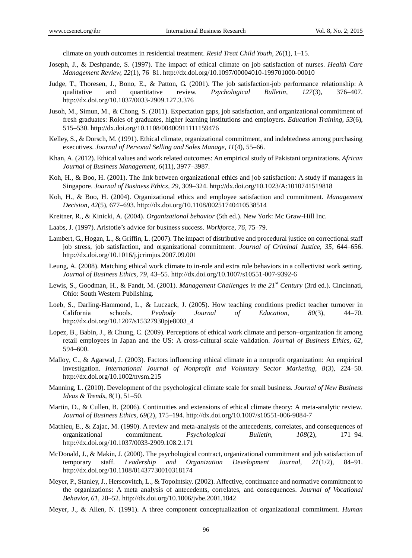climate on youth outcomes in residential treatment. *Resid Treat Child Youth, 26*(1), 1–15.

- Joseph, J., & Deshpande, S. (1997). The impact of ethical climate on job satisfaction of nurses. *Health Care Management Review, 22*(1), 76–81. http://dx.doi.org/10.1097/00004010-199701000-00010
- Judge, T., Thoresen, J., Bono, E., & Patton, G. (2001). The job satisfaction-job performance relationship: A qualitative and quantitative review. *Psychological Bulletin, 127*(3), 376–407. http://dx.doi.org/10.1037/0033-2909.127.3.376
- Jusoh, M., Simun, M., & Chong, S. (2011). Expectation gaps, job satisfaction, and organizational commitment of fresh graduates: Roles of graduates, higher learning institutions and employers. *Education Training, 53*(6), 515–530. http://dx.doi.org/10.1108/00400911111159476
- Kelley, S., & Dorsch, M. (1991). Ethical climate, organizational commitment, and indebtedness among purchasing executives. *Journal of Personal Selling and Sales Manage, 11*(4), 55–66.
- Khan, A. (2012). Ethical values and work related outcomes: An empirical study of Pakistani organizations. *African Journal of Business Management, 6*(11), 3977–3987.
- Koh, H., & Boo, H. (2001). The link between organizational ethics and job satisfaction: A study if managers in Singapore. *Journal of Business Ethics, 29*, 309–324. http://dx.doi.org/10.1023/A:1010741519818
- Koh, H., & Boo, H. (2004). Organizational ethics and employee satisfaction and commitment. *Management Decision, 42*(5), 677–693. http://dx.doi.org/10.1108/00251740410538514
- Kreitner, R., & Kinicki, A. (2004). *Organizational behavior* (5th ed.). New York: Mc Graw-Hill Inc.
- Laabs, J. (1997). Aristotle's advice for business success. *Workforce, 76*, 75–79.
- Lambert, G., Hogan, L., & Griffin, L. (2007). The impact of distributive and procedural justice on correctional staff job stress, job satisfaction, and organizational commitment. *Journal of Criminal Justice, 35*, 644–656. http://dx.doi.org/10.1016/j.jcrimjus.2007.09.001
- Leung, A. (2008). Matching ethical work climate to in-role and extra role behaviors in a collectivist work setting. *Journal of Business Ethics, 79*, 43–55. http://dx.doi.org/10.1007/s10551-007-9392-6
- Lewis, S., Goodman, H., & Fandt, M. (2001). *Management Challenges in the 21st Century* (3rd ed.). Cincinnati, Ohio: South Western Publishing.
- Loeb, S., Darling-Hammond, L., & Luczack, J. (2005). How teaching conditions predict teacher turnover in California schools. *Peabody Journal of Education, 80*(3), 44–70. http://dx.doi.org/10.1207/s15327930pje8003\_4
- Lopez, B., Babin, J., & Chung, C. (2009). Perceptions of ethical work climate and person–organization fit among retail employees in Japan and the US: A cross-cultural scale validation. *Journal of Business Ethics, 62*, 594–600.
- Malloy, C., & Agarwal, J. (2003). Factors influencing ethical climate in a nonprofit organization: An empirical investigation. *International Journal of Nonprofit and Voluntary Sector Marketing, 8*(3), 224–50. http://dx.doi.org/10.1002/nvsm.215
- Manning, L. (2010). Development of the psychological climate scale for small business. *Journal of New Business Ideas & Trends, 8*(1), 51–50.
- Martin, D., & Cullen, B. (2006). Continuities and extensions of ethical climate theory: A meta-analytic review. *Journal of Business Ethics, 69*(2), 175–194. http://dx.doi.org/10.1007/s10551-006-9084-7
- Mathieu, E., & Zajac, M. (1990). A review and meta-analysis of the antecedents, correlates, and consequences of organizational commitment. *Psychological Bulletin, 108*(2), 171–94. http://dx.doi.org/10.1037/0033-2909.108.2.171
- McDonald, J., & Makin, J. (2000). The psychological contract, organizational commitment and job satisfaction of temporary staff. *Leadership and Organization Development Journal, 21*(1/2), 84–91. http://dx.doi.org/10.1108/01437730010318174
- Meyer, P., Stanley, J., Herscovitch, L., & Topolntsky. (2002). Affective, continuance and normative commitment to the organizations: A meta analysis of antecedents, correlates, and consequences. *Journal of Vocational Behavior, 61*, 20–52. http://dx.doi.org/10.1006/jvbe.2001.1842
- Meyer, J., & Allen, N. (1991). A three component conceptualization of organizational commitment. *Human*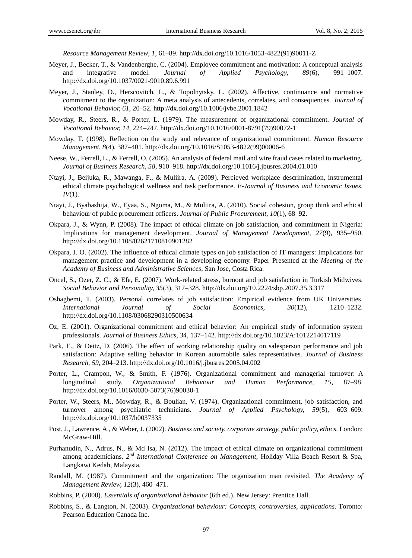*Resource Management Review, 1*, 61–89. http://dx.doi.org/10.1016/1053-4822(91)90011-Z

- Meyer, J., Becker, T., & Vandenberghe, C. (2004). Employee commitment and motivation: A conceptual analysis and integrative model. *Journal of Applied Psychology, 89*(6), 991–1007. http://dx.doi.org/10.1037/0021-9010.89.6.991
- Meyer, J., Stanley, D., Herscovitch, L., & Topolnytsky, L. (2002). Affective, continuance and normative commitment to the organization: A meta analysis of antecedents, correlates, and consequences. *Journal of Vocational Behavior, 61*, 20–52. http://dx.doi.org/10.1006/jvbe.2001.1842
- Mowday, R., Steers, R., & Porter, L. (1979). The measurement of organizational commitment. *Journal of Vocational Behavior, 14*, 224–247. http://dx.doi.org/10.1016/0001-8791(79)90072-1
- Mowday, T. (1998). Reflection on the study and relevance of organizational commitment. *Human Resource Management, 8*(4), 387–401. http://dx.doi.org/10.1016/S1053-4822(99)00006-6
- Neese, W., Ferrell, L., & Ferrell, O. (2005). An analysis of federal mail and wire fraud cases related to marketing. *Journal of Business Research, 58*, 910–918. http://dx.doi.org/10.1016/j.jbusres.2004.01.010
- Ntayi, J., Beijuka, R., Mawanga, F., & Muliira, A. (2009). Percieved workplace descrimination, instrumental ethical climate psychological wellness and task performance. *E-Journal of Business and Economic Issues, IV*(1).
- Ntayi, J., Byabashija, W., Eyaa, S., Ngoma, M., & Muliira, A. (2010). Social cohesion, group think and ethical behaviour of public procurement officers. *Journal of Public Procurement, 10*(1), 68–92.
- Okpara, J., & Wynn, P. (2008). The impact of ethical climate on job satisfaction, and commitment in Nigeria: Implications for management development. *Journal of Management Development, 27*(9), 935–950. http://dx.doi.org/10.1108/02621710810901282
- Okpara, J. O. (2002). The influence of ethical climate types on job satisfaction of IT managers: Implications for management practice and development in a developing economy. Paper Presented at the *Meeting of the Academy of Business and Administrative Sciences*, San Jose, Costa Rica.
- Oncel, S., Ozer, Z. C., & Efe, E. (2007). Work-related stress, burnout and job satisfaction in Turkish Midwives. *Social Behavior and Personality, 35*(3), 317–328. http://dx.doi.org/10.2224/sbp.2007.35.3.317
- Oshagbemi, T. (2003). Personal correlates of job satisfaction: Empirical evidence from UK Universities. *International Journal of Social Economics, 30*(12), 1210–1232. http://dx.doi.org/10.1108/03068290310500634
- Oz, E. (2001). Organizational commitment and ethical behavior: An empirical study of information system professionals. *Journal of Business Ethics, 34*, 137–142. http://dx.doi.org/10.1023/A:1012214017119
- Park, E., & Deitz, D. (2006). The effect of working relationship quality on salesperson performance and job satisfaction: Adaptive selling behavior in Korean automobile sales representatives. *Journal of Business Research, 59*, 204–213. http://dx.doi.org/10.1016/j.jbusres.2005.04.002
- Porter, L., Crampon, W., & Smith, F. (1976). Organizational commitment and managerial turnover: A longitudinal study. *Organizational Behaviour and Human Performance, 15*, 87–98. http://dx.doi.org/10.1016/0030-5073(76)90030-1
- Porter, W., Steers, M., Mowday, R., & Boulian, V. (1974). Organizational commitment, job satisfaction, and turnover among psychiatric technicians. *Journal of Applied Psychology, 59*(5), 603–609. http://dx.doi.org/10.1037/h0037335
- Post, J., Lawrence, A., & Weber, J. (2002). *Business and society. corporate strategy, public policy, ethics*. London: McGraw-Hill.
- Purhanudin, N., Adrus, N., & Md Isa, N. (2012). The impact of ethical climate on organizational commitment among academicians. 2<sup>nd</sup> International Conference on Management, Holiday Villa Beach Resort & Spa, Langkawi Kedah, Malaysia.
- Randall, M. (1987). Commitment and the organization: The organization man revisited. *The Academy of Management Review, 12*(3), 460–471.
- Robbins, P. (2000). *Essentials of organizational behavior* (6th ed.). New Jersey: Prentice Hall.
- Robbins, S., & Langton, N. (2003). *Organizational behaviour: Concepts, controversies, applications*. Toronto: Pearson Education Canada Inc.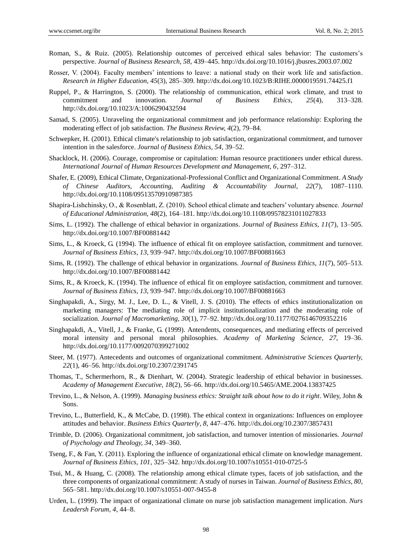- Roman, S., & Ruiz. (2005). Relationship outcomes of perceived ethical sales behavior: The customers's perspective. *Journal of Business Research, 58*, 439–445. http://dx.doi.org/10.1016/j.jbusres.2003.07.002
- Rosser, V. (2004). Faculty members' intentions to leave: a national study on their work life and satisfaction. *Research in Higher Education, 45*(3), 285–309. http://dx.doi.org/10.1023/B:RIHE.0000019591.74425.f1
- Ruppel, P., & Harrington, S. (2000). The relationship of communication, ethical work climate, and trust to commitment and innovation. *Journal of Business Ethics, 25*(4), 313–328. http://dx.doi.org/10.1023/A:1006290432594
- Samad, S. (2005). Unraveling the organizational commitment and job performance relationship: Exploring the moderating effect of job satisfaction. *The Business Review, 4*(2), 79–84.
- Schwepker, H. (2001). Ethical climate's relationship to job satisfaction, organizational commitment, and turnover intention in the salesforce. *Journal of Business Ethics, 54*, 39–52.
- Shacklock, H. (2006). Courage, compromise or capitulation: Human resource practitioners under ethical duress. *International Journal of Human Resources Development and Management, 6*, 297–312.
- Shafer, E. (2009), Ethical Climate, Organizational-Professional Conflict and Organizational Commitment. *A Study of Chinese Auditors, Accounting, Auditing & Accountability Journal, 22*(7), 1087–1110. http://dx.doi.org/10.1108/09513570910987385
- Shapira-Lishchinsky, O., & Rosenblatt, Z. (2010). School ethical climate and teachers' voluntary absence. *Journal of Educational Administration, 48*(2), 164–181. http://dx.doi.org/10.1108/09578231011027833
- Sims, L. (1992). The challenge of ethical behavior in organizations. *Journal of Business Ethics, 11*(7), 13–505. http://dx.doi.org/10.1007/BF00881442
- Sims, L., & Kroeck, G. (1994). The influence of ethical fit on employee satisfaction, commitment and turnover. *Journal of Business Ethics, 13*, 939–947. http://dx.doi.org/10.1007/BF00881663
- Sims, R. (1992). The challenge of ethical behavior in organizations. *Journal of Business Ethics, 11*(7), 505–513. http://dx.doi.org/10.1007/BF00881442
- Sims, R., & Kroeck, K. (1994). The influence of ethical fit on employee satisfaction, commitment and turnover. *Journal of Business Ethics, 13*, 939–947. http://dx.doi.org/10.1007/BF00881663
- Singhapakdi, A., Sirgy, M. J., Lee, D. L., & Vitell, J. S. (2010). The effects of ethics institutionalization on marketing managers: The mediating role of implicit institutionalization and the moderating role of socialization. *Journal of Macromarketing, 30*(1), 77–92. http://dx.doi.org/10.1177/0276146709352216
- Singhapakdi, A., Vitell, J., & Franke, G. (1999). Antendents, consequences, and mediating effects of perceived moral intensity and personal moral philosophies. *Academy of Marketing Science, 27*, 19–36. http://dx.doi.org/10.1177/0092070399271002
- Steer, M. (1977). Antecedents and outcomes of organizational commitment. *Administrative Sciences Quarterly, 22*(1), 46–56. http://dx.doi.org/10.2307/2391745
- Thomas, T., Schermerhorn, R., & Dienhart, W. (2004). Strategic leadership of ethical behavior in businesses. *Academy of Management Executive, 18*(2), 56–66. http://dx.doi.org/10.5465/AME.2004.13837425
- Trevino, L., & Nelson, A. (1999). *Managing business ethics: Straight talk about how to do it right*. Wiley, John & Sons.
- Trevino, L., Butterfield, K., & McCabe, D. (1998). The ethical context in organizations: Influences on employee attitudes and behavior. *Business Ethics Quarterly, 8*, 447–476. http://dx.doi.org/10.2307/3857431
- Trimble, D. (2006). Organizational commitment, job satisfaction, and turnover intention of missionaries. *Journal of Psychology and Theology, 34*, 349–360.
- Tseng, F., & Fan, Y. (2011). Exploring the influence of organizational ethical climate on knowledge management. *Journal of Business Ethics, 101*, 325–342. http://dx.doi.org/10.1007/s10551-010-0725-5
- Tsui, M., & Huang, C. (2008). The relationship among ethical climate types, facets of job satisfaction, and the three components of organizational commitment: A study of nurses in Taiwan. *Journal of Business Ethics, 80*, 565–581. http://dx.doi.org/10.1007/s10551-007-9455-8
- Urden, L. (1999). The impact of organizational climate on nurse job satisfaction management implication. *Nurs Leadersh Forum, 4*, 44–8.